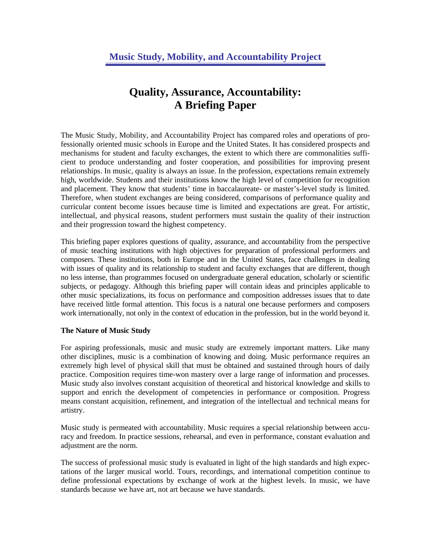# **Quality, Assurance, Accountability: A Briefing Paper**

The Music Study, Mobility, and Accountability Project has compared roles and operations of professionally oriented music schools in Europe and the United States. It has considered prospects and mechanisms for student and faculty exchanges, the extent to which there are commonalities sufficient to produce understanding and foster cooperation, and possibilities for improving present relationships. In music, quality is always an issue. In the profession, expectations remain extremely high, worldwide. Students and their institutions know the high level of competition for recognition and placement. They know that students' time in baccalaureate- or master's-level study is limited. Therefore, when student exchanges are being considered, comparisons of performance quality and curricular content become issues because time is limited and expectations are great. For artistic, intellectual, and physical reasons, student performers must sustain the quality of their instruction and their progression toward the highest competency.

This briefing paper explores questions of quality, assurance, and accountability from the perspective of music teaching institutions with high objectives for preparation of professional performers and composers. These institutions, both in Europe and in the United States, face challenges in dealing with issues of quality and its relationship to student and faculty exchanges that are different, though no less intense, than programmes focused on undergraduate general education, scholarly or scientific subjects, or pedagogy. Although this briefing paper will contain ideas and principles applicable to other music specializations, its focus on performance and composition addresses issues that to date have received little formal attention. This focus is a natural one because performers and composers work internationally, not only in the context of education in the profession, but in the world beyond it.

#### **The Nature of Music Study**

For aspiring professionals, music and music study are extremely important matters. Like many other disciplines, music is a combination of knowing and doing. Music performance requires an extremely high level of physical skill that must be obtained and sustained through hours of daily practice. Composition requires time-won mastery over a large range of information and processes. Music study also involves constant acquisition of theoretical and historical knowledge and skills to support and enrich the development of competencies in performance or composition. Progress means constant acquisition, refinement, and integration of the intellectual and technical means for artistry.

Music study is permeated with accountability. Music requires a special relationship between accuracy and freedom. In practice sessions, rehearsal, and even in performance, constant evaluation and adjustment are the norm.

The success of professional music study is evaluated in light of the high standards and high expectations of the larger musical world. Tours, recordings, and international competition continue to define professional expectations by exchange of work at the highest levels. In music, we have standards because we have art, not art because we have standards.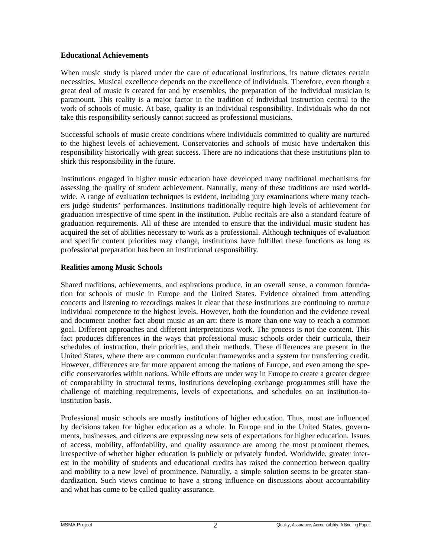#### **Educational Achievements**

When music study is placed under the care of educational institutions, its nature dictates certain necessities. Musical excellence depends on the excellence of individuals. Therefore, even though a great deal of music is created for and by ensembles, the preparation of the individual musician is paramount. This reality is a major factor in the tradition of individual instruction central to the work of schools of music. At base, quality is an individual responsibility. Individuals who do not take this responsibility seriously cannot succeed as professional musicians.

Successful schools of music create conditions where individuals committed to quality are nurtured to the highest levels of achievement. Conservatories and schools of music have undertaken this responsibility historically with great success. There are no indications that these institutions plan to shirk this responsibility in the future.

Institutions engaged in higher music education have developed many traditional mechanisms for assessing the quality of student achievement. Naturally, many of these traditions are used worldwide. A range of evaluation techniques is evident, including jury examinations where many teachers judge students' performances. Institutions traditionally require high levels of achievement for graduation irrespective of time spent in the institution. Public recitals are also a standard feature of graduation requirements. All of these are intended to ensure that the individual music student has acquired the set of abilities necessary to work as a professional. Although techniques of evaluation and specific content priorities may change, institutions have fulfilled these functions as long as professional preparation has been an institutional responsibility.

## **Realities among Music Schools**

Shared traditions, achievements, and aspirations produce, in an overall sense, a common foundation for schools of music in Europe and the United States. Evidence obtained from attending concerts and listening to recordings makes it clear that these institutions are continuing to nurture individual competence to the highest levels. However, both the foundation and the evidence reveal and document another fact about music as an art: there is more than one way to reach a common goal. Different approaches and different interpretations work. The process is not the content. This fact produces differences in the ways that professional music schools order their curricula, their schedules of instruction, their priorities, and their methods. These differences are present in the United States, where there are common curricular frameworks and a system for transferring credit. However, differences are far more apparent among the nations of Europe, and even among the specific conservatories within nations. While efforts are under way in Europe to create a greater degree of comparability in structural terms, institutions developing exchange programmes still have the challenge of matching requirements, levels of expectations, and schedules on an institution-toinstitution basis.

Professional music schools are mostly institutions of higher education. Thus, most are influenced by decisions taken for higher education as a whole. In Europe and in the United States, governments, businesses, and citizens are expressing new sets of expectations for higher education. Issues of access, mobility, affordability, and quality assurance are among the most prominent themes, irrespective of whether higher education is publicly or privately funded. Worldwide, greater interest in the mobility of students and educational credits has raised the connection between quality and mobility to a new level of prominence. Naturally, a simple solution seems to be greater standardization. Such views continue to have a strong influence on discussions about accountability and what has come to be called quality assurance.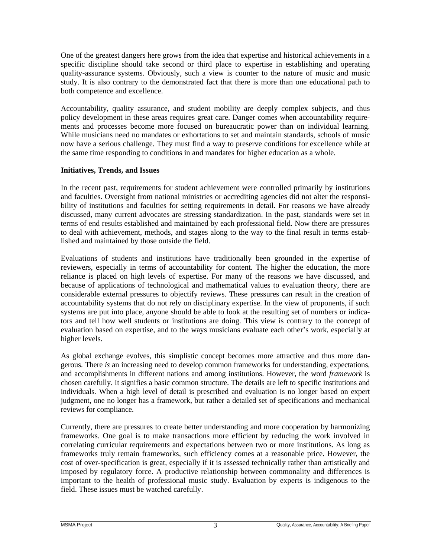One of the greatest dangers here grows from the idea that expertise and historical achievements in a specific discipline should take second or third place to expertise in establishing and operating quality-assurance systems. Obviously, such a view is counter to the nature of music and music study. It is also contrary to the demonstrated fact that there is more than one educational path to both competence and excellence.

Accountability, quality assurance, and student mobility are deeply complex subjects, and thus policy development in these areas requires great care. Danger comes when accountability requirements and processes become more focused on bureaucratic power than on individual learning. While musicians need no mandates or exhortations to set and maintain standards, schools of music now have a serious challenge. They must find a way to preserve conditions for excellence while at the same time responding to conditions in and mandates for higher education as a whole.

#### **Initiatives, Trends, and Issues**

In the recent past, requirements for student achievement were controlled primarily by institutions and faculties. Oversight from national ministries or accrediting agencies did not alter the responsibility of institutions and faculties for setting requirements in detail. For reasons we have already discussed, many current advocates are stressing standardization. In the past, standards were set in terms of end results established and maintained by each professional field. Now there are pressures to deal with achievement, methods, and stages along to the way to the final result in terms established and maintained by those outside the field.

Evaluations of students and institutions have traditionally been grounded in the expertise of reviewers, especially in terms of accountability for content. The higher the education, the more reliance is placed on high levels of expertise. For many of the reasons we have discussed, and because of applications of technological and mathematical values to evaluation theory, there are considerable external pressures to objectify reviews. These pressures can result in the creation of accountability systems that do not rely on disciplinary expertise. In the view of proponents, if such systems are put into place, anyone should be able to look at the resulting set of numbers or indicators and tell how well students or institutions are doing. This view is contrary to the concept of evaluation based on expertise, and to the ways musicians evaluate each other's work, especially at higher levels.

As global exchange evolves, this simplistic concept becomes more attractive and thus more dangerous. There *is* an increasing need to develop common frameworks for understanding, expectations, and accomplishments in different nations and among institutions. However, the word *framework* is chosen carefully. It signifies a basic common structure. The details are left to specific institutions and individuals. When a high level of detail is prescribed and evaluation is no longer based on expert judgment, one no longer has a framework, but rather a detailed set of specifications and mechanical reviews for compliance.

Currently, there are pressures to create better understanding and more cooperation by harmonizing frameworks. One goal is to make transactions more efficient by reducing the work involved in correlating curricular requirements and expectations between two or more institutions. As long as frameworks truly remain frameworks, such efficiency comes at a reasonable price. However, the cost of over-specification is great, especially if it is assessed technically rather than artistically and imposed by regulatory force. A productive relationship between commonality and differences is important to the health of professional music study. Evaluation by experts is indigenous to the field. These issues must be watched carefully.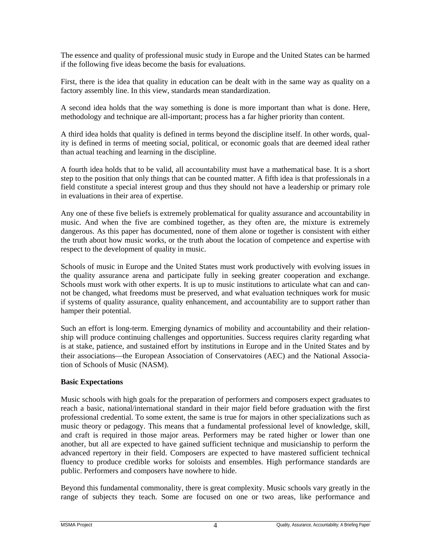The essence and quality of professional music study in Europe and the United States can be harmed if the following five ideas become the basis for evaluations.

First, there is the idea that quality in education can be dealt with in the same way as quality on a factory assembly line. In this view, standards mean standardization.

A second idea holds that the way something is done is more important than what is done. Here, methodology and technique are all-important; process has a far higher priority than content.

A third idea holds that quality is defined in terms beyond the discipline itself. In other words, quality is defined in terms of meeting social, political, or economic goals that are deemed ideal rather than actual teaching and learning in the discipline.

A fourth idea holds that to be valid, all accountability must have a mathematical base. It is a short step to the position that only things that can be counted matter. A fifth idea is that professionals in a field constitute a special interest group and thus they should not have a leadership or primary role in evaluations in their area of expertise.

Any one of these five beliefs is extremely problematical for quality assurance and accountability in music. And when the five are combined together, as they often are, the mixture is extremely dangerous. As this paper has documented, none of them alone or together is consistent with either the truth about how music works, or the truth about the location of competence and expertise with respect to the development of quality in music.

Schools of music in Europe and the United States must work productively with evolving issues in the quality assurance arena and participate fully in seeking greater cooperation and exchange. Schools must work with other experts. It is up to music institutions to articulate what can and cannot be changed, what freedoms must be preserved, and what evaluation techniques work for music if systems of quality assurance, quality enhancement, and accountability are to support rather than hamper their potential.

Such an effort is long-term. Emerging dynamics of mobility and accountability and their relationship will produce continuing challenges and opportunities. Success requires clarity regarding what is at stake, patience, and sustained effort by institutions in Europe and in the United States and by their associations—the European Association of Conservatoires (AEC) and the National Association of Schools of Music (NASM).

## **Basic Expectations**

Music schools with high goals for the preparation of performers and composers expect graduates to reach a basic, national/international standard in their major field before graduation with the first professional credential. To some extent, the same is true for majors in other specializations such as music theory or pedagogy. This means that a fundamental professional level of knowledge, skill, and craft is required in those major areas. Performers may be rated higher or lower than one another, but all are expected to have gained sufficient technique and musicianship to perform the advanced repertory in their field. Composers are expected to have mastered sufficient technical fluency to produce credible works for soloists and ensembles. High performance standards are public. Performers and composers have nowhere to hide.

Beyond this fundamental commonality, there is great complexity. Music schools vary greatly in the range of subjects they teach. Some are focused on one or two areas, like performance and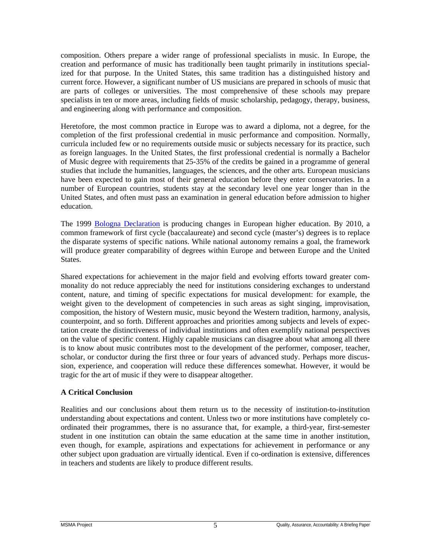composition. Others prepare a wider range of professional specialists in music. In Europe, the creation and performance of music has traditionally been taught primarily in institutions specialized for that purpose. In the United States, this same tradition has a distinguished history and current force. However, a significant number of US musicians are prepared in schools of music that are parts of colleges or universities. The most comprehensive of these schools may prepare specialists in ten or more areas, including fields of music scholarship, pedagogy, therapy, business, and engineering along with performance and composition.

Heretofore, the most common practice in Europe was to award a diploma, not a degree, for the completion of the first professional credential in music performance and composition. Normally, curricula included few or no requirements outside music or subjects necessary for its practice, such as foreign languages. In the United States, the first professional credential is normally a Bachelor of Music degree with requirements that 25-35% of the credits be gained in a programme of general studies that include the humanities, languages, the sciences, and the other arts. European musicians have been expected to gain most of their general education before they enter conservatories. In a number of European countries, students stay at the secondary level one year longer than in the United States, and often must pass an examination in general education before admission to higher education.

The 1999 [Bologna Declaration](http://www.cepes.ro/information_services/sources/on_line/bologna.htm) is producing changes in European higher education. By 2010, a common framework of first cycle (baccalaureate) and second cycle (master's) degrees is to replace the disparate systems of specific nations. While national autonomy remains a goal, the framework will produce greater comparability of degrees within Europe and between Europe and the United States.

Shared expectations for achievement in the major field and evolving efforts toward greater commonality do not reduce appreciably the need for institutions considering exchanges to understand content, nature, and timing of specific expectations for musical development: for example, the weight given to the development of competencies in such areas as sight singing, improvisation, composition, the history of Western music, music beyond the Western tradition, harmony, analysis, counterpoint, and so forth. Different approaches and priorities among subjects and levels of expectation create the distinctiveness of individual institutions and often exemplify national perspectives on the value of specific content. Highly capable musicians can disagree about what among all there is to know about music contributes most to the development of the performer, composer, teacher, scholar, or conductor during the first three or four years of advanced study. Perhaps more discussion, experience, and cooperation will reduce these differences somewhat. However, it would be tragic for the art of music if they were to disappear altogether.

#### **A Critical Conclusion**

Realities and our conclusions about them return us to the necessity of institution-to-institution understanding about expectations and content. Unless two or more institutions have completely coordinated their programmes, there is no assurance that, for example, a third-year, first-semester student in one institution can obtain the same education at the same time in another institution, even though, for example, aspirations and expectations for achievement in performance or any other subject upon graduation are virtually identical. Even if co-ordination is extensive, differences in teachers and students are likely to produce different results.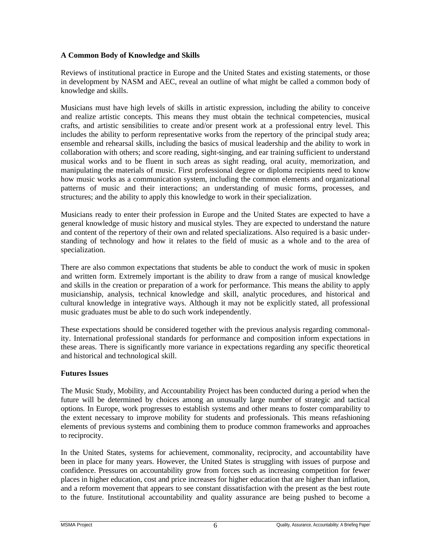## **A Common Body of Knowledge and Skills**

Reviews of institutional practice in Europe and the United States and existing statements, or those in development by NASM and AEC, reveal an outline of what might be called a common body of knowledge and skills.

Musicians must have high levels of skills in artistic expression, including the ability to conceive and realize artistic concepts. This means they must obtain the technical competencies, musical crafts, and artistic sensibilities to create and/or present work at a professional entry level. This includes the ability to perform representative works from the repertory of the principal study area; ensemble and rehearsal skills, including the basics of musical leadership and the ability to work in collaboration with others; and score reading, sight-singing, and ear training sufficient to understand musical works and to be fluent in such areas as sight reading, oral acuity, memorization, and manipulating the materials of music. First professional degree or diploma recipients need to know how music works as a communication system, including the common elements and organizational patterns of music and their interactions; an understanding of music forms, processes, and structures; and the ability to apply this knowledge to work in their specialization.

Musicians ready to enter their profession in Europe and the United States are expected to have a general knowledge of music history and musical styles. They are expected to understand the nature and content of the repertory of their own and related specializations. Also required is a basic understanding of technology and how it relates to the field of music as a whole and to the area of specialization.

There are also common expectations that students be able to conduct the work of music in spoken and written form. Extremely important is the ability to draw from a range of musical knowledge and skills in the creation or preparation of a work for performance. This means the ability to apply musicianship, analysis, technical knowledge and skill, analytic procedures, and historical and cultural knowledge in integrative ways. Although it may not be explicitly stated, all professional music graduates must be able to do such work independently.

These expectations should be considered together with the previous analysis regarding commonality. International professional standards for performance and composition inform expectations in these areas. There is significantly more variance in expectations regarding any specific theoretical and historical and technological skill.

#### **Futures Issues**

The Music Study, Mobility, and Accountability Project has been conducted during a period when the future will be determined by choices among an unusually large number of strategic and tactical options. In Europe, work progresses to establish systems and other means to foster comparability to the extent necessary to improve mobility for students and professionals. This means refashioning elements of previous systems and combining them to produce common frameworks and approaches to reciprocity.

In the United States, systems for achievement, commonality, reciprocity, and accountability have been in place for many years. However, the United States is struggling with issues of purpose and confidence. Pressures on accountability grow from forces such as increasing competition for fewer places in higher education, cost and price increases for higher education that are higher than inflation, and a reform movement that appears to see constant dissatisfaction with the present as the best route to the future. Institutional accountability and quality assurance are being pushed to become a